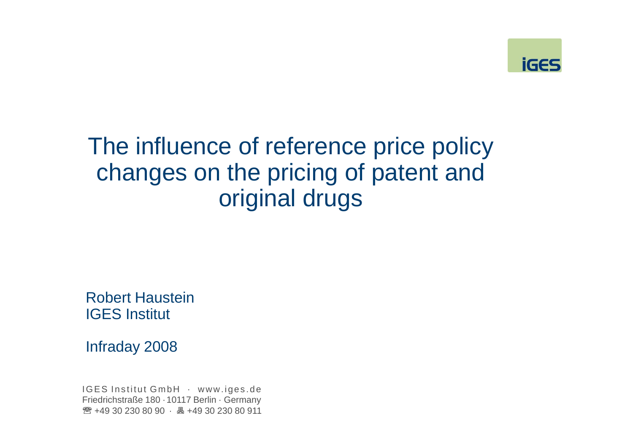

## The influence of reference price policy changes on the pricing of patent and original drugs

Robert HausteinIGES Institut

Infraday 2008

IGES Institut GmbH · www.iges.de Friedrichstraße 180 · 10117 Berlin · Germany**☎ +49 30 230 80 90 · 島 +49 30 230 80 911**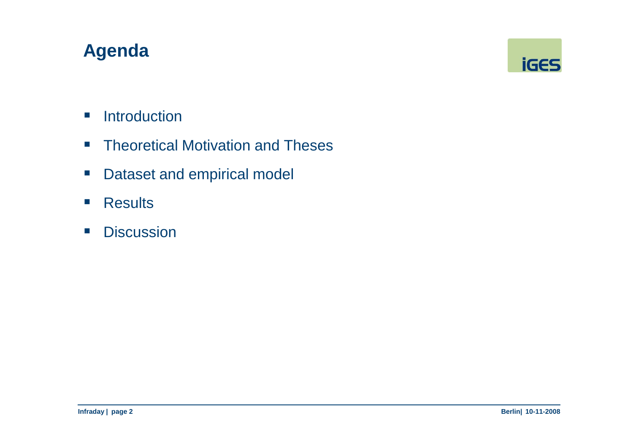## **Agenda**



- $\mathbb{R}^n$ **Introduction**
- $\mathcal{L}_{\mathcal{A}}$ Theoretical Motivation and Theses
- $\mathcal{L}_{\mathcal{A}}$ Dataset and empirical model
- $\overline{\phantom{a}}$ **Results**
- $\mathcal{L}_{\mathcal{A}}$ **Discussion**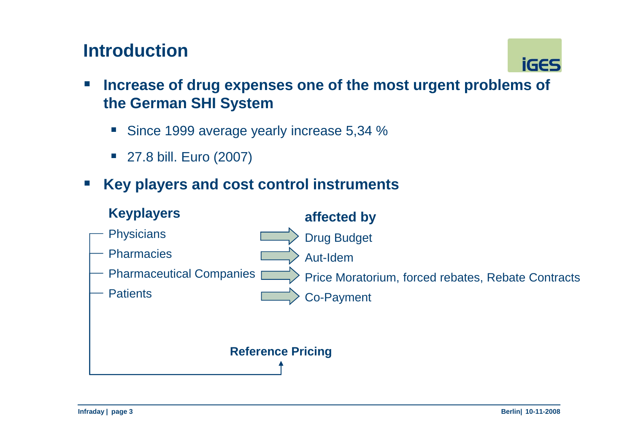## **Introduction**



- $\mathcal{L}_{\mathcal{A}}$  **Increase of drug expenses one of the most urgent problems of the German SHI System**
	- Since 1999 average yearly increase 5,34 %
	- 27.8 bill. Euro (2007)
- **Service Service Key players and cost control instruments**

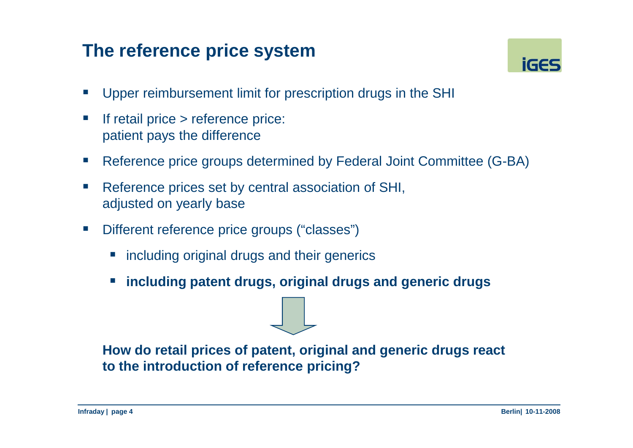## **The reference price system**



- $\overline{\phantom{a}}$ Upper reimbursement limit for prescription drugs in the SHI
- $\Box$  If retail price > reference price: patient pays the difference
- $\mathbb{R}^3$ Reference price groups determined by Federal Joint Committee (G-BA)
- П Reference prices set by central association of SHI, adjusted on yearly base
- $\overline{\phantom{a}}$  Different reference price groups ("classes")
	- **nd including original drugs and their generics**
	- **including patent drugs, original drugs and generic drugs**

**How do retail prices of patent, original and generic drugs react to the introduction of reference pricing?**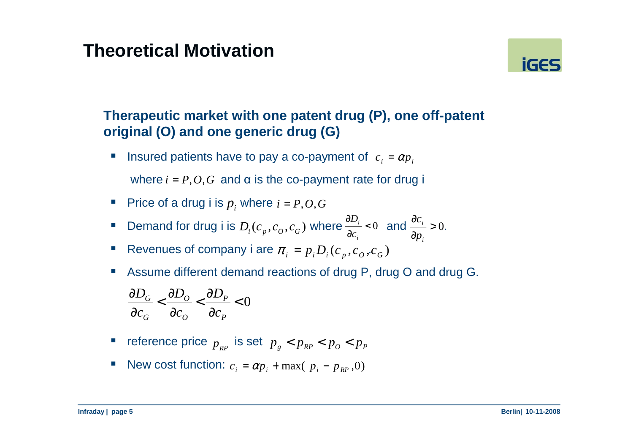### **Theoretical Motivation**



### **Therapeutic market with one patent drug (P), one off-patent original (O) and one generic drug (G)**

ш **I** Insured patients have to pay a co-payment of  $c_i = \alpha p_i$ 

where  $i = P, O, G$  and  $\alpha$  is the co-payment rate for drug i

- Price of a drug i is  $p_i$  where  $i = P, O, G$
- Demand for drug i is  $D_i(c_p, c_o, c_g)$  where  $\frac{\partial E_i}{\partial c_i} < 0$  and  $\frac{\partial c_i}{\partial p_i} > 0$ .  $\frac{\partial D_i}{\partial r}$  < 0 and  $\frac{\partial c_i}{\partial r}$  > 0∂ *<sup>i</sup> c*  $\partial c_i$   $\partial c_j$   $\partial p$ *i*
- Revenues of company i are  $\pi_i = p_i D_i(c_p, c_o, c_G)$
- П Assume different demand reactions of drug P, drug O and drug G.

$$
\frac{\partial D_G}{\partial c_G} < \frac{\partial D_O}{\partial c_O} < \frac{\partial D_P}{\partial c_P} < 0
$$

- **r** reference price  $p_{_{RP}}$  is set  $p_{_g} < p_{_{RP}} < p_{_O} < p_{_P}$
- New cost function:  $c_i = \alpha p_i + \max(-p_i p_{RP}, 0)$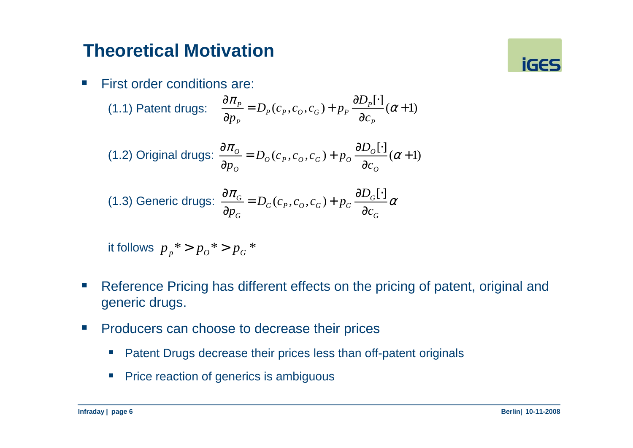### **Theoretical Motivation**

 $\mathcal{L}^{\mathcal{L}}$ First order conditions are:

(1.1) Patent drugs: 
$$
\frac{\partial \pi_P}{\partial p_P} = D_P(c_P, c_O, c_G) + p_P \frac{\partial D_P[\cdot]}{\partial c_P} (\alpha + 1)
$$

(1.2) Original drugs: 
$$
\frac{\partial \pi_o}{\partial p_o} = D_o(c_p, c_o, c_G) + p_o \frac{\partial D_o[\cdot]}{\partial c_o} (\alpha + 1)
$$

(1.3) Generic drugs: 
$$
\frac{\partial \pi_G}{\partial p_G} = D_G(c_P, c_O, c_G) + p_G \frac{\partial D_G[\cdot]}{\partial c_G} \alpha
$$

it follows*pp*\* $> p_o$ \* $> p_G$ \*

- $\mathbb{R}^n$  Reference Pricing has different effects on the pricing of patent, original and generic drugs.
- $\mathbb{R}^n$  Producers can choose to decrease their prices
	- $\mathcal{L}_{\mathcal{A}}$ Patent Drugs decrease their prices less than off-patent originals
	- $\blacksquare$  Price reaction of generics is ambiguous

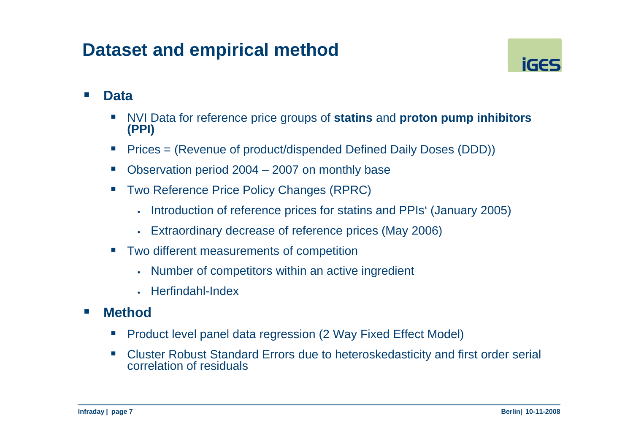### **Dataset and empirical method**



#### $\mathcal{L}(\mathcal{L})$ **Data**

- П NVI Data for reference price groups of **statins** and **proton pump inhibitors (PPI)**
- Prices = (Revenue of product/dispended Defined Daily Doses (DDD))
- $\mathcal{C}^{\mathcal{A}}$ Observation period 2004 – 2007 on monthly base
- Two Reference Price Policy Changes (RPRC)
	- Introduction of reference prices for statins and PPIs' (January 2005)
	- Extraordinary decrease of reference prices (May 2006)
- Two different measurements of competition
	- Number of competitors within an active ingredient
	- Herfindahl-Index

#### $\sim$ **Method**

- П Product level panel data regression (2 Way Fixed Effect Model)
- $\sim$  Cluster Robust Standard Errors due to heteroskedasticity and first order serial correlation of residuals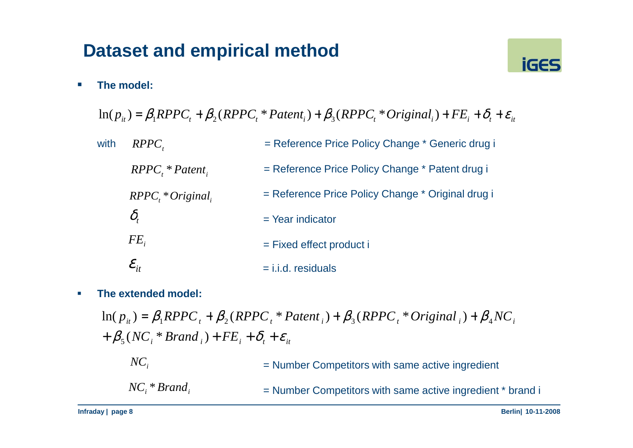## **Dataset and empirical method**



 $\overline{\phantom{a}}$ **The model:**

 $\ln(p_{it}) = \beta_1 RPPC_t + \beta_2 (RPPC_t * Patent_i) + \beta_3 (RPPC_t * Original_i) + FE_i + \delta_t + \varepsilon_{it}$ 

| with | $RPPC_{t}$                              | = Reference Price Policy Change * Generic drug i  |
|------|-----------------------------------------|---------------------------------------------------|
|      | $RPPCi * Patenti$                       | = Reference Price Policy Change * Patent drug i   |
|      | $RPPCr * Originalr$                     | = Reference Price Policy Change * Original drug i |
|      | $\delta_{\scriptscriptstyle\prime}$     | $=$ Year indicator                                |
|      | $FE_{i}$                                | $=$ Fixed effect product i                        |
|      | $\mathcal{E}^{\vphantom{\dagger}}_{it}$ | $=$ i.i.d. residuals                              |

 $\mathcal{L}_{\mathcal{A}}$ **The extended model:** 

> $f + \beta_5(NC_i * Brand_i) + FE_i + \delta_t + \varepsilon_{it}$  $\ln(p_{it}) = \beta_1 RPPC_t + \beta_2 (RPPC_t * Patent_i) + \beta_3 (RPPC_t * Original_i) + \beta_4 NC_i$

| $NC_i$          | = Number Competitors with same active ingredient           |
|-----------------|------------------------------------------------------------|
| $NC_*$ * Brand, | = Number Competitors with same active ingredient * brand i |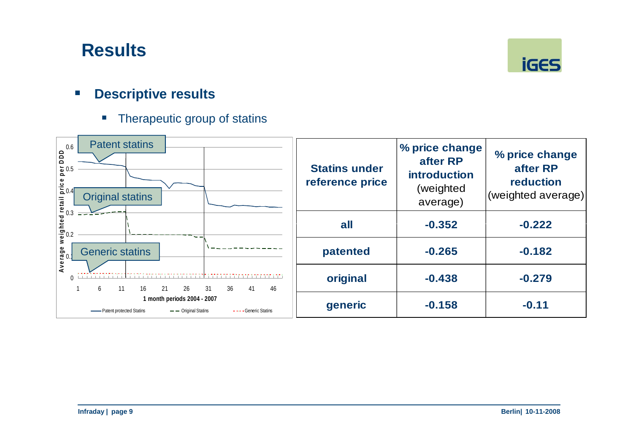

#### $\mathcal{L}_{\mathcal{A}}$ **Descriptive results**

 $\overline{\phantom{a}}$ Therapeutic group of statins

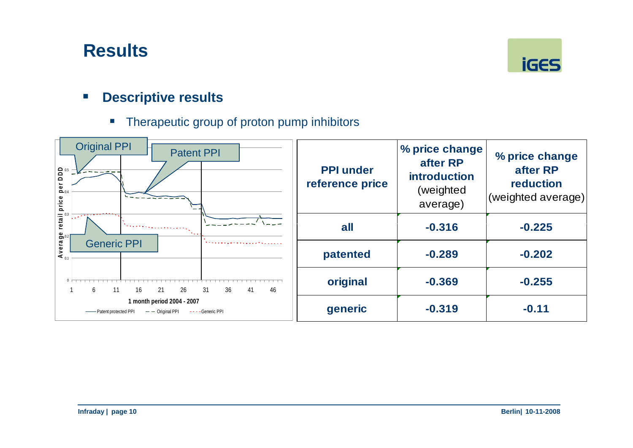

#### $\overline{\mathcal{L}}$ **Descriptive results**

■ Therapeutic group of proton pump inhibitors

| $\begin{array}{c}\n\bullet & 0.5 \\ \bullet & 0.5\n\end{array}$<br>$P_{0.4}$ | <b>Original PPI</b><br><b>Patent PPI</b> |                                                                | <b>PPI under</b><br>reference price | % price change<br>after RP<br><b>introduction</b><br>(weighted<br>average) | % price change<br>after RP<br>reduction<br>(weighted average) |
|------------------------------------------------------------------------------|------------------------------------------|----------------------------------------------------------------|-------------------------------------|----------------------------------------------------------------------------|---------------------------------------------------------------|
| retail price<br>Average                                                      | <b>Generic PPI</b>                       |                                                                | all                                 | $-0.316$                                                                   | $-0.225$                                                      |
|                                                                              |                                          |                                                                | patented                            | $-0.289$                                                                   | $-0.202$                                                      |
|                                                                              | 6<br>16                                  | 26<br>31<br>36<br>41<br>46<br>21                               | original                            | $-0.369$                                                                   | $-0.255$                                                      |
|                                                                              | - Patent protected PPI                   | 1 month period 2004 - 2007<br>$ -$ Original PPI<br>Generic PPI | generic                             | $-0.319$                                                                   | $-0.11$                                                       |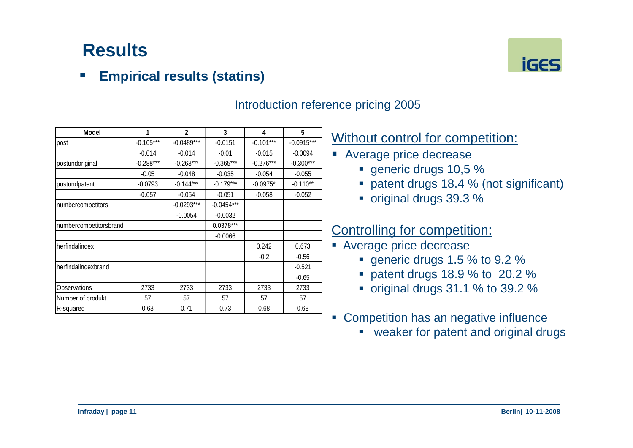#### $\mathcal{L}_{\mathcal{A}}$ **Empirical results (statins)**



| Model                  |             | 2            | 3            | 4           | 5            |
|------------------------|-------------|--------------|--------------|-------------|--------------|
| post                   | $-0.105***$ | $-0.0489***$ | $-0.0151$    | $-0.101***$ | $-0.0915***$ |
|                        | $-0.014$    | $-0.014$     | $-0.01$      | $-0.015$    | $-0.0094$    |
| postundoriginal        | $-0.288***$ | $-0.263***$  | $-0.365***$  | $-0.276***$ | $-0.300***$  |
|                        | $-0.05$     | $-0.048$     | $-0.035$     | $-0.054$    | $-0.055$     |
| postundpatent          | $-0.0793$   | $-0.144***$  | $-0.179***$  | $-0.0975*$  | $-0.110**$   |
|                        | $-0.057$    | $-0.054$     | $-0.051$     | $-0.058$    | $-0.052$     |
| numbercompetitors      |             | $-0.0293***$ | $-0.0454***$ |             |              |
|                        |             | $-0.0054$    | $-0.0032$    |             |              |
| numbercompetitorsbrand |             |              | $0.0378***$  |             |              |
|                        |             |              | $-0.0066$    |             |              |
| herfindalindex         |             |              |              | 0.242       | 0.673        |
|                        |             |              |              | $-0.2$      | $-0.56$      |
| herfindalindexbrand    |             |              |              |             | $-0.521$     |
|                        |             |              |              |             | $-0.65$      |
| Observations           | 2733        | 2733         | 2733         | 2733        | 2733         |
| Number of produkt      | 57          | 57           | 57           | 57          | 57           |
| R-squared              | 0.68        | 0.71         | 0.73         | 0.68        | 0.68         |

### Introduction reference pricing 2005

### Without control for competition:

- Average price decrease
	- generic drugs 10,5 %
	- patent drugs 18.4 % (not significant)
	- original drugs 39.3 %

### Controlling for competition:

- **Average price decrease** 
	- generic drugs 1.5  $\%$  to 9.2  $\%$
	- patent drugs 18.9 % to 20.2 %
	- original drugs  $31.1\%$  to  $39.2\%$
- **Competition has an negative influence** 
	- weaker for patent and original drugs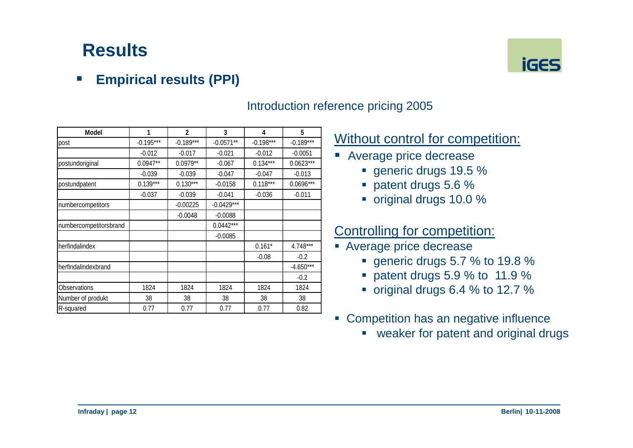#### $\mathbb{R}^n$ **Empirical results (PPI)**



### Introduction reference pricing 2005

### Without control for competition:

- Average price decrease
	- generic drugs 19.5 %
	- patent drugs 5.6 %
	- original drugs 10.0 %

### Controlling for competition:

- **Average price decrease** 
	- generic drugs 5.7  $\%$  to 19.8  $\%$
	- patent drugs 5.9 % to 11.9 %
	- original drugs 6.4  $%$  to 12.7  $%$
- $\mathcal{C}$  Competition has an negative influence
	- weaker for patent and original drugs

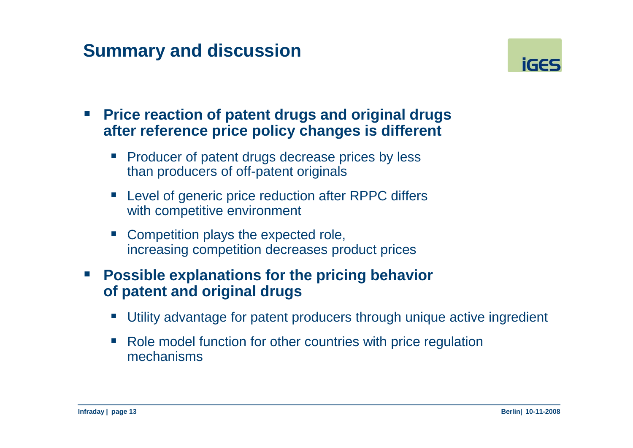## **Summary and discussion**



- $\mathcal{L}(\mathcal{L})$  **Price reaction of patent drugs and original drugs after reference price policy changes is different**
	- Producer of patent drugs decrease prices by less than producers of off-patent originals
	- **Level of generic price reduction after RPPC differs** with competitive environment
	- Competition plays the expected role, increasing competition decreases product prices
- $\mathbb{R}^n$  **Possible explanations for the pricing behavior of patent and original drugs**
	- Utility advantage for patent producers through unique active ingredient
	- Role model function for other countries with price regulation mechanisms